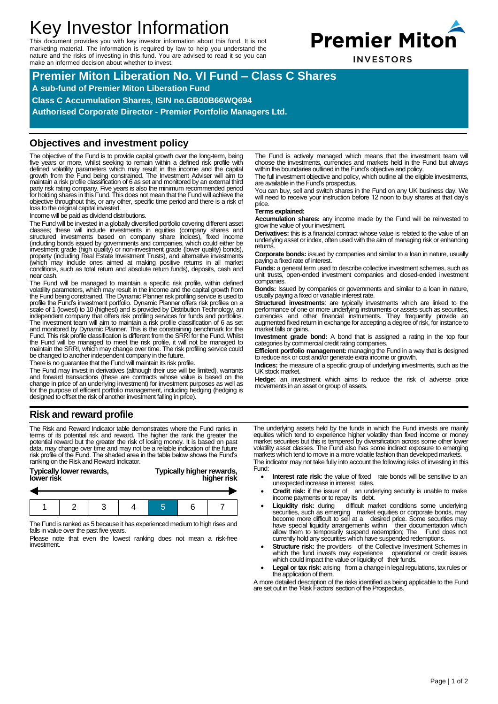# Key Investor Information

This document provides you with key investor information about this fund. It is not marketing material. The information is required by law to help you understand the nature and the risks of investing in this fund. You are advised to read it so you can make an informed decision about whether to invest.



**INVESTORS** 

**Premier Miton Liberation No. VI Fund – Class C Shares A sub-fund of Premier Miton Liberation Fund Class C Accumulation Shares, ISIN no.GB00B66WQ694 Authorised Corporate Director - Premier Portfolio Managers Ltd.**

## **Objectives and investment policy**

The objective of the Fund is to provide capital growth over the long-term, being<br>five years or more, whilst seeking to remain within a defined risk profile with<br>defined volatility parameters which may result in the income growth from the Fund being constrained. The Investment Adviser will aim to maintain a risk profile classification of 6 as set and monitored by an external third party risk rating company. Five years is also the minimum recommended period for holding shares in this Fund. This does not mean that the Fund will achieve the objective throughout this, or any other, specific time period and there is a risk of loss to the original capital invested.

Income will be paid as dividend distributions.

The Fund will be invested in a globally diversified portfolio covering different asset classes; these will include investments in equities (company shares and structured investments based on company share indices), fixed income (including bonds issued by govemments and companies, which could either be<br>investment grade (high quality) or non-investment grade (lower quality) bonds),<br>property (including Real Estate Investment Trusts), and altemative (which may include ones aimed at making positive returns in all market conditions, such as total return and absolute return funds), deposits, cash and near cash.

The Fund will be managed to maintain a specific risk profile, within defined volatility parameters, which may result in the income and the capital growth from the Fund being constrained. The Dynamic Planner risk profiling service is used to<br>profile the Fund's investment portfolio. Dynamic Planner offers risk profiles on a<br>scale of 1 (lowest) to 10 (highest) and is provided by Di independent company that offers risk profiling services for funds and portfolios.<br>The investment team will aim to maintain a risk profile classification of 6 as set<br>and monitored by Dynamic Planner. This is the constrainin the Fund will be managed to meet the risk profile, it will not be managed to maintain the SRRI, which may change over time. The risk profiling service could be changed to another independent company in the future.

There is no guarantee that the Fund will maintain its risk profile.

The Fund may invest in derivatives (although their use will be limited), warrants and forward transactions (these are contracts whose value is based on the change in price of an underlying investment) for investment purposes as well as<br>for the purpose of efficient portfolio management, including hedging (hedging is<br>designed to offset the risk of another investment falling in

## **Risk and reward profile**

The Risk and Reward Indicator table demonstrates where the Fund ranks in terms of its potential risk and reward. The higher the rank the greater the potential reward but the greater the risk of losing money. It is based on past data, may change over time and may not be a reliable indication of ranking on the Risk and Reward Indicator.

| Typically lower rewards, |  |  |
|--------------------------|--|--|
| lower risk               |  |  |

### **Typically higher rewards, lower risk higher risk**



The Fund is ranked as 5 because it has experienced medium to high rises and falls in value over the past five years.

Please note that even the lowest ranking does not mean a risk-free investment.

The Fund is actively managed which means that the investment team will choose the investments, currencies and markets held in the Fund but always within the boundaries outlined in the Fund's objective and policy.

The full investment objective and policy, which outline all the eligible investments, are available in the Fund's prospectus.

You can buy, sell and switch shares in the Fund on any UK business day. We will need to receive your instruction before 12 noon to buy shares at that day's price.

#### **Terms explained:**

**Accumulation shares:** any income made by the Fund will be reinvested to grow the value of your investment.

**Derivatives:** this is a financial contract whose value is related to the value of an underlying asset or index, often used with the aim of managing risk or enhancing returns.

**Corporate bonds:** issued by companies and similar to a loan in nature, usually paying a fixed rate of interest.

**Funds:** a general term used to describe collective investment schemes, such as unit trusts, open-ended investment companies and closed-ended investment companies.

**Bonds:** Issued by companies or governments and similar to a loan in nature, usually paying a fixed or variable interest rate.

**Structured investments**: are typically investments which are linked to the performance of one or more underlying instruments or assets such as securities, currencies and other financial instruments. They frequently provide an augmented fixed return in exchange for accepting a degree of risk, for instance to market falls or gains.

**Investment grade bond:** A bond that is assigned a rating in the top four categories by commercial credit rating companies.

**Efficient portfolio management:** managing the Fund in a way that is designed to reduce risk or cost and/or generate extra income or growth.

**Indices:** the measure of a specific group of underlying investments, such as the UK stock market.

**Hedge:** an investment which aims to reduce the risk of adverse price movements in an asset or group of assets.

The underlying assets held by the funds in which the Fund invests are mainly equities which tend to experience higher volatility than fixed income or money market securities but this is tempered by diversification across some other lower volatility asset classes. The Fund also has some indirect exposure to emerging markets which tend to move in a more volatile fashion than developed markets. The indicator may not take fully into account the following risks of investing in this Fund:

- **Interest rate risk:** the value of fixed rate bonds will be sensitive to an unexpected increase in interest rates.
- Credit risk: if the issuer of an underlying security is unable to make income payments or to repay its debt.
- Liquidity risk: during difficult market conditions some underlying securities, such as emerging market equities or corporate bonds, may become more difficult to sell at a desired price. Some securities may have special l allow them to temporarily suspend redemption; The Fund does not currently hold any securities which have suspended redemptions.
- **Structure risk:** the providers of the Collective Investment Schemes in which the fund invests may experience operational or credit issues which the fund invests may experience which could impact the value or liquidity of their funds.
- Legal or tax risk: arising from a change in legal regulations, tax rules or the application of them.

A more detailed description of the risks identified as being applicable to the Fund are set out in the 'Risk Factors' section of the Prospectus.